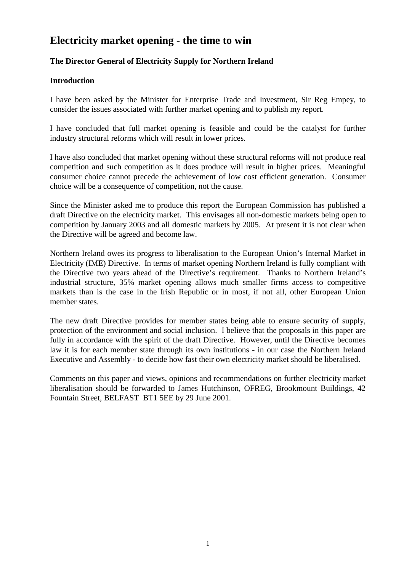# **Electricity market opening - the time to win**

### **The Director General of Electricity Supply for Northern Ireland**

#### **Introduction**

I have been asked by the Minister for Enterprise Trade and Investment, Sir Reg Empey, to consider the issues associated with further market opening and to publish my report.

I have concluded that full market opening is feasible and could be the catalyst for further industry structural reforms which will result in lower prices.

I have also concluded that market opening without these structural reforms will not produce real competition and such competition as it does produce will result in higher prices. Meaningful consumer choice cannot precede the achievement of low cost efficient generation. Consumer choice will be a consequence of competition, not the cause.

Since the Minister asked me to produce this report the European Commission has published a draft Directive on the electricity market. This envisages all non-domestic markets being open to competition by January 2003 and all domestic markets by 2005. At present it is not clear when the Directive will be agreed and become law.

Northern Ireland owes its progress to liberalisation to the European Union's Internal Market in Electricity (IME) Directive. In terms of market opening Northern Ireland is fully compliant with the Directive two years ahead of the Directive's requirement. Thanks to Northern Ireland's industrial structure, 35% market opening allows much smaller firms access to competitive markets than is the case in the Irish Republic or in most, if not all, other European Union member states.

The new draft Directive provides for member states being able to ensure security of supply, protection of the environment and social inclusion. I believe that the proposals in this paper are fully in accordance with the spirit of the draft Directive. However, until the Directive becomes law it is for each member state through its own institutions - in our case the Northern Ireland Executive and Assembly - to decide how fast their own electricity market should be liberalised.

Comments on this paper and views, opinions and recommendations on further electricity market liberalisation should be forwarded to James Hutchinson, OFREG, Brookmount Buildings, 42 Fountain Street, BELFAST BT1 5EE by 29 June 2001.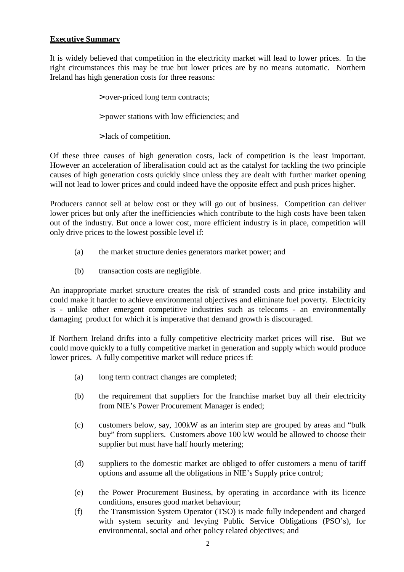#### **Executive Summary**

It is widely believed that competition in the electricity market will lead to lower prices. In the right circumstances this may be true but lower prices are by no means automatic. Northern Ireland has high generation costs for three reasons:

- > over-priced long term contracts;
- > power stations with low efficiencies; and
- > lack of competition.

Of these three causes of high generation costs, lack of competition is the least important. However an acceleration of liberalisation could act as the catalyst for tackling the two principle causes of high generation costs quickly since unless they are dealt with further market opening will not lead to lower prices and could indeed have the opposite effect and push prices higher.

Producers cannot sell at below cost or they will go out of business. Competition can deliver lower prices but only after the inefficiencies which contribute to the high costs have been taken out of the industry. But once a lower cost, more efficient industry is in place, competition will only drive prices to the lowest possible level if:

- (a) the market structure denies generators market power; and
- (b) transaction costs are negligible.

An inappropriate market structure creates the risk of stranded costs and price instability and could make it harder to achieve environmental objectives and eliminate fuel poverty. Electricity is - unlike other emergent competitive industries such as telecoms - an environmentally damaging product for which it is imperative that demand growth is discouraged.

If Northern Ireland drifts into a fully competitive electricity market prices will rise. But we could move quickly to a fully competitive market in generation and supply which would produce lower prices. A fully competitive market will reduce prices if:

- (a) long term contract changes are completed;
- (b) the requirement that suppliers for the franchise market buy all their electricity from NIE's Power Procurement Manager is ended;
- (c) customers below, say, 100kW as an interim step are grouped by areas and "bulk buy" from suppliers. Customers above 100 kW would be allowed to choose their supplier but must have half hourly metering;
- (d) suppliers to the domestic market are obliged to offer customers a menu of tariff options and assume all the obligations in NIE's Supply price control;
- (e) the Power Procurement Business, by operating in accordance with its licence conditions, ensures good market behaviour;
- (f) the Transmission System Operator (TSO) is made fully independent and charged with system security and levying Public Service Obligations (PSO's), for environmental, social and other policy related objectives; and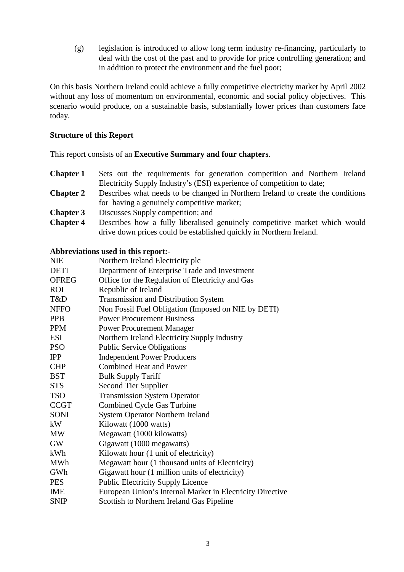(g) legislation is introduced to allow long term industry re-financing, particularly to deal with the cost of the past and to provide for price controlling generation; and in addition to protect the environment and the fuel poor;

On this basis Northern Ireland could achieve a fully competitive electricity market by April 2002 without any loss of momentum on environmental, economic and social policy objectives. This scenario would produce, on a sustainable basis, substantially lower prices than customers face today.

#### **Structure of this Report**

This report consists of an **Executive Summary and four chapters**.

- **Chapter 1** Sets out the requirements for generation competition and Northern Ireland Electricity Supply Industry's (ESI) experience of competition to date;
- **Chapter 2** Describes what needs to be changed in Northern Ireland to create the conditions for having a genuinely competitive market;
- **Chapter 3** Discusses Supply competition; and
- **Chapter 4** Describes how a fully liberalised genuinely competitive market which would drive down prices could be established quickly in Northern Ireland.

#### **Abbreviations used in this report:-**

| <b>NIE</b>   | Northern Ireland Electricity plc                          |
|--------------|-----------------------------------------------------------|
| <b>DETI</b>  | Department of Enterprise Trade and Investment             |
| <b>OFREG</b> | Office for the Regulation of Electricity and Gas          |
| <b>ROI</b>   | Republic of Ireland                                       |
| T&D          | Transmission and Distribution System                      |
| <b>NFFO</b>  | Non Fossil Fuel Obligation (Imposed on NIE by DETI)       |
| <b>PPB</b>   | <b>Power Procurement Business</b>                         |
| <b>PPM</b>   | <b>Power Procurement Manager</b>                          |
| <b>ESI</b>   | Northern Ireland Electricity Supply Industry              |
| <b>PSO</b>   | <b>Public Service Obligations</b>                         |
| <b>IPP</b>   | <b>Independent Power Producers</b>                        |
| <b>CHP</b>   | <b>Combined Heat and Power</b>                            |
| <b>BST</b>   | <b>Bulk Supply Tariff</b>                                 |
| <b>STS</b>   | Second Tier Supplier                                      |
| <b>TSO</b>   | <b>Transmission System Operator</b>                       |
| <b>CCGT</b>  | <b>Combined Cycle Gas Turbine</b>                         |
| SONI         | <b>System Operator Northern Ireland</b>                   |
| kW           | Kilowatt (1000 watts)                                     |
| MW           | Megawatt (1000 kilowatts)                                 |
| <b>GW</b>    | Gigawatt (1000 megawatts)                                 |
| kWh          | Kilowatt hour (1 unit of electricity)                     |
| <b>MWh</b>   | Megawatt hour (1 thousand units of Electricity)           |
| GWh          | Gigawatt hour (1 million units of electricity)            |
| <b>PES</b>   | <b>Public Electricity Supply Licence</b>                  |
| <b>IME</b>   | European Union's Internal Market in Electricity Directive |
| <b>SNIP</b>  | Scottish to Northern Ireland Gas Pipeline                 |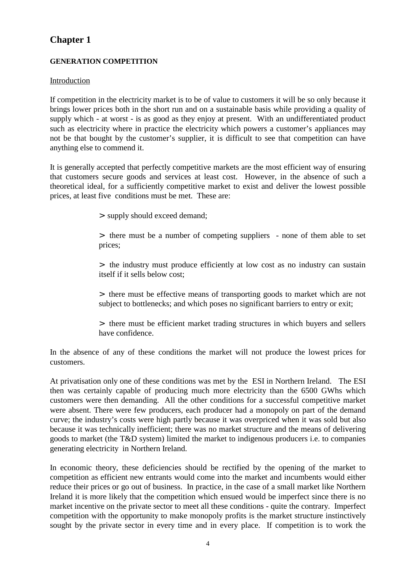# **Chapter 1**

#### **GENERATION COMPETITION**

#### Introduction

If competition in the electricity market is to be of value to customers it will be so only because it brings lower prices both in the short run and on a sustainable basis while providing a quality of supply which - at worst - is as good as they enjoy at present. With an undifferentiated product such as electricity where in practice the electricity which powers a customer's appliances may not be that bought by the customer's supplier, it is difficult to see that competition can have anything else to commend it.

It is generally accepted that perfectly competitive markets are the most efficient way of ensuring that customers secure goods and services at least cost. However, in the absence of such a theoretical ideal, for a sufficiently competitive market to exist and deliver the lowest possible prices, at least five conditions must be met. These are:

> supply should exceed demand;

> there must be a number of competing suppliers - none of them able to set prices;

> the industry must produce efficiently at low cost as no industry can sustain itself if it sells below cost;

> there must be effective means of transporting goods to market which are not subject to bottlenecks; and which poses no significant barriers to entry or exit;

> there must be efficient market trading structures in which buyers and sellers have confidence.

In the absence of any of these conditions the market will not produce the lowest prices for customers.

At privatisation only one of these conditions was met by the ESI in Northern Ireland. The ESI then was certainly capable of producing much more electricity than the 6500 GWhs which customers were then demanding. All the other conditions for a successful competitive market were absent. There were few producers, each producer had a monopoly on part of the demand curve; the industry's costs were high partly because it was overpriced when it was sold but also because it was technically inefficient; there was no market structure and the means of delivering goods to market (the T&D system) limited the market to indigenous producers i.e. to companies generating electricity in Northern Ireland.

In economic theory, these deficiencies should be rectified by the opening of the market to competition as efficient new entrants would come into the market and incumbents would either reduce their prices or go out of business. In practice, in the case of a small market like Northern Ireland it is more likely that the competition which ensued would be imperfect since there is no market incentive on the private sector to meet all these conditions - quite the contrary. Imperfect competition with the opportunity to make monopoly profits is the market structure instinctively sought by the private sector in every time and in every place. If competition is to work the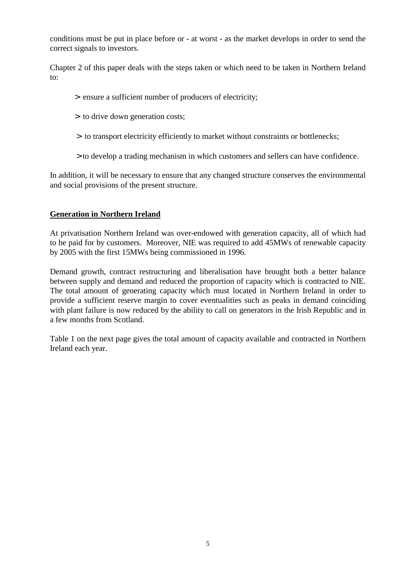conditions must be put in place before or - at worst - as the market develops in order to send the correct signals to investors.

Chapter 2 of this paper deals with the steps taken or which need to be taken in Northern Ireland to:

- > ensure a sufficient number of producers of electricity;
- > to drive down generation costs;
- > to transport electricity efficiently to market without constraints or bottlenecks;
- > to develop a trading mechanism in which customers and sellers can have confidence.

In addition, it will be necessary to ensure that any changed structure conserves the environmental and social provisions of the present structure.

#### **Generation in Northern Ireland**

At privatisation Northern Ireland was over-endowed with generation capacity, all of which had to be paid for by customers. Moreover, NIE was required to add 45MWs of renewable capacity by 2005 with the first 15MWs being commissioned in 1996.

Demand growth, contract restructuring and liberalisation have brought both a better balance between supply and demand and reduced the proportion of capacity which is contracted to NIE. The total amount of generating capacity which must located in Northern Ireland in order to provide a sufficient reserve margin to cover eventualities such as peaks in demand coinciding with plant failure is now reduced by the ability to call on generators in the Irish Republic and in a few months from Scotland.

Table 1 on the next page gives the total amount of capacity available and contracted in Northern Ireland each year.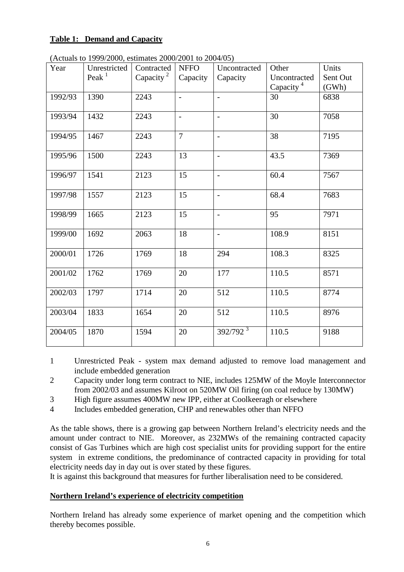#### **Table 1: Demand and Capacity**

| Year    | Unrestricted | Contracted            | <b>NFFO</b>              | Uncontracted             | Other                 | Units    |
|---------|--------------|-----------------------|--------------------------|--------------------------|-----------------------|----------|
|         | Peak $1$     | Capacity <sup>2</sup> | Capacity                 | Capacity                 | Uncontracted          | Sent Out |
|         |              |                       |                          |                          | Capacity <sup>4</sup> | (GWh)    |
| 1992/93 | 1390         | 2243                  | $\overline{a}$           | $\overline{\phantom{a}}$ | 30                    | 6838     |
|         |              |                       |                          |                          |                       |          |
| 1993/94 | 1432         | 2243                  | $\overline{\phantom{m}}$ | $\overline{\phantom{a}}$ | 30                    | 7058     |
|         |              |                       |                          |                          |                       |          |
| 1994/95 | 1467         | 2243                  | $\overline{7}$           | $\overline{a}$           | 38                    | 7195     |
|         |              |                       |                          |                          |                       |          |
| 1995/96 | 1500         | 2243                  | 13                       | $\blacksquare$           | 43.5                  | 7369     |
|         |              |                       |                          |                          |                       |          |
| 1996/97 | 1541         | 2123                  | 15                       | $\overline{\phantom{a}}$ | 60.4                  | 7567     |
|         |              |                       |                          |                          |                       |          |
| 1997/98 | 1557         | 2123                  | 15                       | $\overline{\phantom{a}}$ | 68.4                  | 7683     |
|         |              |                       |                          |                          |                       |          |
| 1998/99 | 1665         | 2123                  | 15                       | $\overline{\phantom{a}}$ | 95                    | 7971     |
|         |              |                       |                          |                          |                       |          |
| 1999/00 | 1692         | 2063                  | 18                       | $\frac{1}{2}$            | 108.9                 | 8151     |
| 2000/01 | 1726         | 1769                  | 18                       | 294                      | 108.3                 | 8325     |
|         |              |                       |                          |                          |                       |          |
| 2001/02 | 1762         | 1769                  | 20                       | 177                      | 110.5                 | 8571     |
|         |              |                       |                          |                          |                       |          |
| 2002/03 | 1797         | 1714                  | 20                       | 512                      | 110.5                 | 8774     |
|         |              |                       |                          |                          |                       |          |
| 2003/04 | 1833         | 1654                  | 20                       | 512                      | 110.5                 | 8976     |
|         |              |                       |                          |                          |                       |          |
| 2004/05 | 1870         | 1594                  | 20                       | $392/792^3$              | 110.5                 | 9188     |
|         |              |                       |                          |                          |                       |          |

(Actuals to 1999/2000, estimates 2000/2001 to 2004/05)

1 Unrestricted Peak - system max demand adjusted to remove load management and include embedded generation

- 2 Capacity under long term contract to NIE, includes 125MW of the Moyle Interconnector from 2002/03 and assumes Kilroot on 520MW Oil firing (on coal reduce by 130MW)
- 3 High figure assumes 400MW new IPP, either at Coolkeeragh or elsewhere
- 4 Includes embedded generation, CHP and renewables other than NFFO

As the table shows, there is a growing gap between Northern Ireland's electricity needs and the amount under contract to NIE. Moreover, as 232MWs of the remaining contracted capacity consist of Gas Turbines which are high cost specialist units for providing support for the entire system in extreme conditions, the predominance of contracted capacity in providing for total electricity needs day in day out is over stated by these figures.

It is against this background that measures for further liberalisation need to be considered.

#### **Northern Ireland's experience of electricity competition**

Northern Ireland has already some experience of market opening and the competition which thereby becomes possible.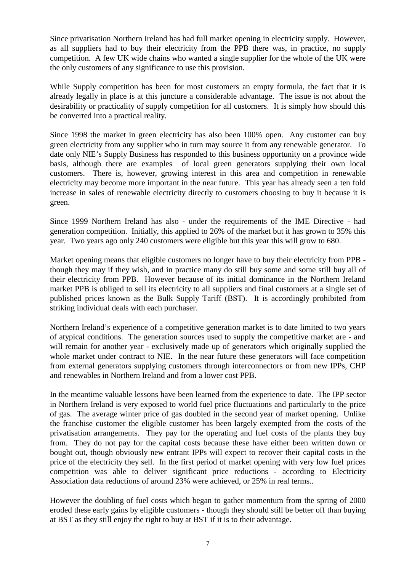Since privatisation Northern Ireland has had full market opening in electricity supply. However, as all suppliers had to buy their electricity from the PPB there was, in practice, no supply competition. A few UK wide chains who wanted a single supplier for the whole of the UK were the only customers of any significance to use this provision.

While Supply competition has been for most customers an empty formula, the fact that it is already legally in place is at this juncture a considerable advantage. The issue is not about the desirability or practicality of supply competition for all customers. It is simply how should this be converted into a practical reality.

Since 1998 the market in green electricity has also been 100% open. Any customer can buy green electricity from any supplier who in turn may source it from any renewable generator. To date only NIE's Supply Business has responded to this business opportunity on a province wide basis, although there are examples of local green generators supplying their own local customers. There is, however, growing interest in this area and competition in renewable electricity may become more important in the near future. This year has already seen a ten fold increase in sales of renewable electricity directly to customers choosing to buy it because it is green.

Since 1999 Northern Ireland has also - under the requirements of the IME Directive - had generation competition. Initially, this applied to 26% of the market but it has grown to 35% this year. Two years ago only 240 customers were eligible but this year this will grow to 680.

Market opening means that eligible customers no longer have to buy their electricity from PPB though they may if they wish, and in practice many do still buy some and some still buy all of their electricity from PPB. However because of its initial dominance in the Northern Ireland market PPB is obliged to sell its electricity to all suppliers and final customers at a single set of published prices known as the Bulk Supply Tariff (BST). It is accordingly prohibited from striking individual deals with each purchaser.

Northern Ireland's experience of a competitive generation market is to date limited to two years of atypical conditions. The generation sources used to supply the competitive market are - and will remain for another year - exclusively made up of generators which originally supplied the whole market under contract to NIE. In the near future these generators will face competition from external generators supplying customers through interconnectors or from new IPPs, CHP and renewables in Northern Ireland and from a lower cost PPB.

In the meantime valuable lessons have been learned from the experience to date. The IPP sector in Northern Ireland is very exposed to world fuel price fluctuations and particularly to the price of gas. The average winter price of gas doubled in the second year of market opening. Unlike the franchise customer the eligible customer has been largely exempted from the costs of the privatisation arrangements. They pay for the operating and fuel costs of the plants they buy from. They do not pay for the capital costs because these have either been written down or bought out, though obviously new entrant IPPs will expect to recover their capital costs in the price of the electricity they sell. In the first period of market opening with very low fuel prices competition was able to deliver significant price reductions - according to Electricity Association data reductions of around 23% were achieved, or 25% in real terms..

However the doubling of fuel costs which began to gather momentum from the spring of 2000 eroded these early gains by eligible customers - though they should still be better off than buying at BST as they still enjoy the right to buy at BST if it is to their advantage.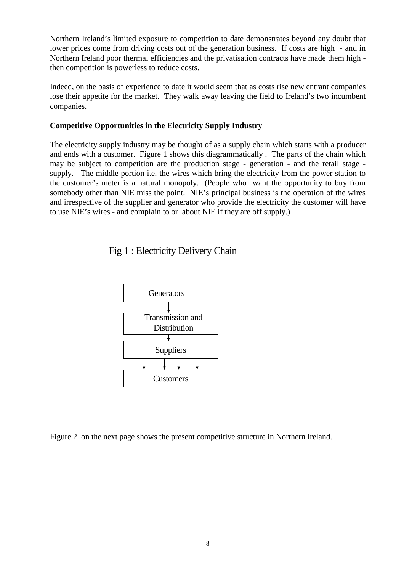Northern Ireland's limited exposure to competition to date demonstrates beyond any doubt that lower prices come from driving costs out of the generation business. If costs are high - and in Northern Ireland poor thermal efficiencies and the privatisation contracts have made them high then competition is powerless to reduce costs.

Indeed, on the basis of experience to date it would seem that as costs rise new entrant companies lose their appetite for the market. They walk away leaving the field to Ireland's two incumbent companies.

#### **Competitive Opportunities in the Electricity Supply Industry**

The electricity supply industry may be thought of as a supply chain which starts with a producer and ends with a customer. Figure 1 shows this diagrammatically . The parts of the chain which may be subject to competition are the production stage - generation - and the retail stage supply. The middle portion i.e. the wires which bring the electricity from the power station to the customer's meter is a natural monopoly. (People who want the opportunity to buy from somebody other than NIE miss the point. NIE's principal business is the operation of the wires and irrespective of the supplier and generator who provide the electricity the customer will have to use NIE's wires - and complain to or about NIE if they are off supply.)

Fig 1 : Electricity Delivery Chain



Figure 2 on the next page shows the present competitive structure in Northern Ireland.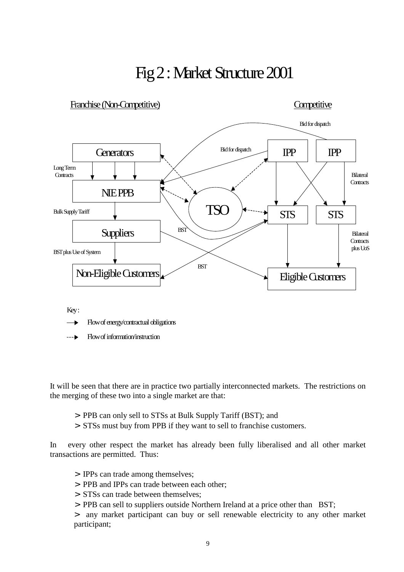# Fig 2 : Market Structure 2001



Key:

Flow of energy/contractual obligations

Flow of information/instruction

It will be seen that there are in practice two partially interconnected markets. The restrictions on the merging of these two into a single market are that:

- > PPB can only sell to STSs at Bulk Supply Tariff (BST); and
- > STSs must buy from PPB if they want to sell to franchise customers.

In every other respect the market has already been fully liberalised and all other market transactions are permitted. Thus:

- > IPPs can trade among themselves;
- > PPB and IPPs can trade between each other;
- > STSs can trade between themselves;
- > PPB can sell to suppliers outside Northern Ireland at a price other than BST;

> any market participant can buy or sell renewable electricity to any other market participant;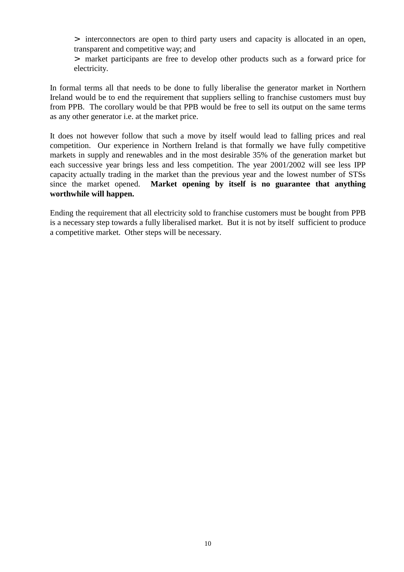> interconnectors are open to third party users and capacity is allocated in an open, transparent and competitive way; and

> market participants are free to develop other products such as a forward price for electricity.

In formal terms all that needs to be done to fully liberalise the generator market in Northern Ireland would be to end the requirement that suppliers selling to franchise customers must buy from PPB. The corollary would be that PPB would be free to sell its output on the same terms as any other generator i.e. at the market price.

It does not however follow that such a move by itself would lead to falling prices and real competition. Our experience in Northern Ireland is that formally we have fully competitive markets in supply and renewables and in the most desirable 35% of the generation market but each successive year brings less and less competition. The year 2001/2002 will see less IPP capacity actually trading in the market than the previous year and the lowest number of STSs since the market opened. **Market opening by itself is no guarantee that anything worthwhile will happen.**

Ending the requirement that all electricity sold to franchise customers must be bought from PPB is a necessary step towards a fully liberalised market. But it is not by itself sufficient to produce a competitive market. Other steps will be necessary.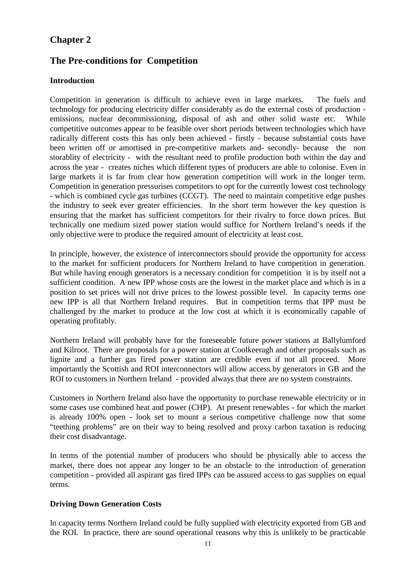## **Chapter 2**

# **The Pre-conditions for Competition**

#### **Introduction**

Competition in generation is difficult to achieve even in large markets. The fuels and technology for producing electricity differ considerably as do the external costs of production emissions, nuclear decommissioning, disposal of ash and other solid waste etc. While competitive outcomes appear to be feasible over short periods between technologies which have radically different costs this has only been achieved - firstly - because substantial costs have been written off or amortised in pre-competitive markets and- secondly- because the non storablity of electricity - with the resultant need to profile production both within the day and across the year - creates niches which different types of producers are able to colonise. Even in large markets it is far from clear how generation competition will work in the longer term. Competition in generation pressurises competitors to opt for the currently lowest cost technology - which is combined cycle gas turbines (CCGT). The need to maintain competitive edge pushes the industry to seek ever greater efficiencies. In the short term however the key question is ensuring that the market has sufficient competitors for their rivalry to force down prices. But technically one medium sized power station would suffice for Northern Ireland's needs if the only objective were to produce the required amount of electricity at least cost.

In principle, however, the existence of interconnectors should provide the opportunity for access to the market for sufficient producers for Northern Ireland to have competition in generation. But while having enough generators is a necessary condition for competition it is by itself not a sufficient condition. A new IPP whose costs are the lowest in the market place and which is in a position to set prices will not drive prices to the lowest possible level. In capacity terms one new IPP is all that Northern Ireland requires. But in competition terms that IPP must be challenged by the market to produce at the low cost at which it is economically capable of operating profitably.

Northern Ireland will probably have for the foreseeable future power stations at Ballylumford and Kilroot. There are proposals for a power station at Coolkeeragh and other proposals such as lignite and a further gas fired power station are credible even if not all proceed. More importantly the Scottish and ROI interconnectors will allow access by generators in GB and the ROI to customers in Northern Ireland - provided always that there are no system constraints.

Customers in Northern Ireland also have the opportunity to purchase renewable electricity or in some cases use combined heat and power (CHP). At present renewables - for which the market is already 100% open - look set to mount a serious competitive challenge now that some "teething problems" are on their way to being resolved and proxy carbon taxation is reducing their cost disadvantage.

In terms of the potential number of producers who should be physically able to access the market, there does not appear any longer to be an obstacle to the introduction of generation competition - provided all aspirant gas fired IPPs can be assured access to gas supplies on equal terms.

#### **Driving Down Generation Costs**

In capacity terms Northern Ireland could be fully supplied with electricity exported from GB and the ROI. In practice, there are sound operational reasons why this is unlikely to be practicable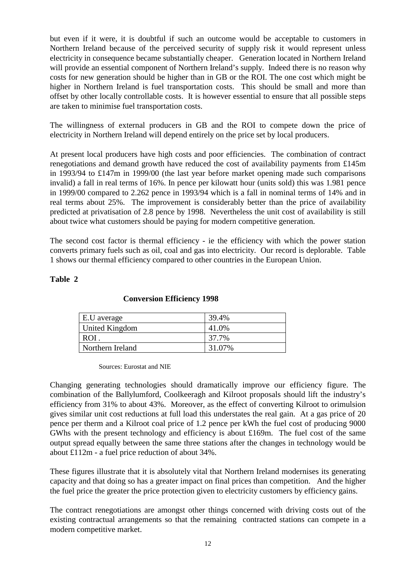but even if it were, it is doubtful if such an outcome would be acceptable to customers in Northern Ireland because of the perceived security of supply risk it would represent unless electricity in consequence became substantially cheaper. Generation located in Northern Ireland will provide an essential component of Northern Ireland's supply. Indeed there is no reason why costs for new generation should be higher than in GB or the ROI. The one cost which might be higher in Northern Ireland is fuel transportation costs. This should be small and more than offset by other locally controllable costs. It is however essential to ensure that all possible steps are taken to minimise fuel transportation costs.

The willingness of external producers in GB and the ROI to compete down the price of electricity in Northern Ireland will depend entirely on the price set by local producers.

At present local producers have high costs and poor efficiencies. The combination of contract renegotiations and demand growth have reduced the cost of availability payments from £145m in 1993/94 to £147m in 1999/00 (the last year before market opening made such comparisons invalid) a fall in real terms of 16%. In pence per kilowatt hour (units sold) this was 1.981 pence in 1999/00 compared to 2.262 pence in 1993/94 which is a fall in nominal terms of 14% and in real terms about 25%. The improvement is considerably better than the price of availability predicted at privatisation of 2.8 pence by 1998. Nevertheless the unit cost of availability is still about twice what customers should be paying for modern competitive generation.

The second cost factor is thermal efficiency - ie the efficiency with which the power station converts primary fuels such as oil, coal and gas into electricity. Our record is deplorable. Table 1 shows our thermal efficiency compared to other countries in the European Union.

#### **Table 2**

| E.U average           | 39.4%  |
|-----------------------|--------|
| <b>United Kingdom</b> | 41.0%  |
| $ROI$ .               | 37.7%  |
| Northern Ireland      | 31.07% |

#### **Conversion Efficiency 1998**

Sources: Eurostat and NIE

Changing generating technologies should dramatically improve our efficiency figure. The combination of the Ballylumford, Coolkeeragh and Kilroot proposals should lift the industry's efficiency from 31% to about 43%. Moreover, as the effect of converting Kilroot to orimulsion gives similar unit cost reductions at full load this understates the real gain. At a gas price of 20 pence per therm and a Kilroot coal price of 1.2 pence per kWh the fuel cost of producing 9000 GWhs with the present technology and efficiency is about £169m. The fuel cost of the same output spread equally between the same three stations after the changes in technology would be about £112m - a fuel price reduction of about 34%.

These figures illustrate that it is absolutely vital that Northern Ireland modernises its generating capacity and that doing so has a greater impact on final prices than competition. And the higher the fuel price the greater the price protection given to electricity customers by efficiency gains.

The contract renegotiations are amongst other things concerned with driving costs out of the existing contractual arrangements so that the remaining contracted stations can compete in a modern competitive market.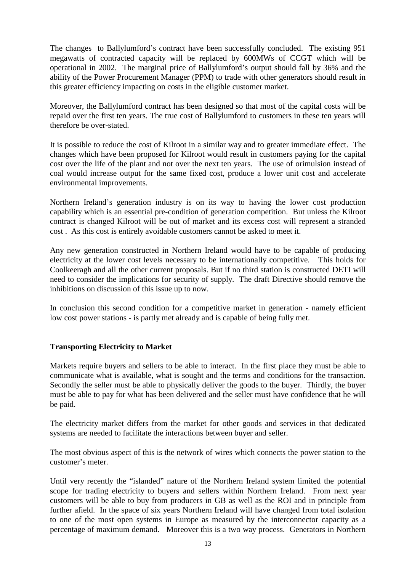The changes to Ballylumford's contract have been successfully concluded. The existing 951 megawatts of contracted capacity will be replaced by 600MWs of CCGT which will be operational in 2002. The marginal price of Ballylumford's output should fall by 36% and the ability of the Power Procurement Manager (PPM) to trade with other generators should result in this greater efficiency impacting on costs in the eligible customer market.

Moreover, the Ballylumford contract has been designed so that most of the capital costs will be repaid over the first ten years. The true cost of Ballylumford to customers in these ten years will therefore be over-stated.

It is possible to reduce the cost of Kilroot in a similar way and to greater immediate effect. The changes which have been proposed for Kilroot would result in customers paying for the capital cost over the life of the plant and not over the next ten years. The use of orimulsion instead of coal would increase output for the same fixed cost, produce a lower unit cost and accelerate environmental improvements.

Northern Ireland's generation industry is on its way to having the lower cost production capability which is an essential pre-condition of generation competition. But unless the Kilroot contract is changed Kilroot will be out of market and its excess cost will represent a stranded cost . As this cost is entirely avoidable customers cannot be asked to meet it.

Any new generation constructed in Northern Ireland would have to be capable of producing electricity at the lower cost levels necessary to be internationally competitive. This holds for Coolkeeragh and all the other current proposals. But if no third station is constructed DETI will need to consider the implications for security of supply. The draft Directive should remove the inhibitions on discussion of this issue up to now.

In conclusion this second condition for a competitive market in generation - namely efficient low cost power stations - is partly met already and is capable of being fully met.

#### **Transporting Electricity to Market**

Markets require buyers and sellers to be able to interact. In the first place they must be able to communicate what is available, what is sought and the terms and conditions for the transaction. Secondly the seller must be able to physically deliver the goods to the buyer. Thirdly, the buyer must be able to pay for what has been delivered and the seller must have confidence that he will be paid.

The electricity market differs from the market for other goods and services in that dedicated systems are needed to facilitate the interactions between buyer and seller.

The most obvious aspect of this is the network of wires which connects the power station to the customer's meter.

Until very recently the "islanded" nature of the Northern Ireland system limited the potential scope for trading electricity to buyers and sellers within Northern Ireland. From next year customers will be able to buy from producers in GB as well as the ROI and in principle from further afield. In the space of six years Northern Ireland will have changed from total isolation to one of the most open systems in Europe as measured by the interconnector capacity as a percentage of maximum demand. Moreover this is a two way process. Generators in Northern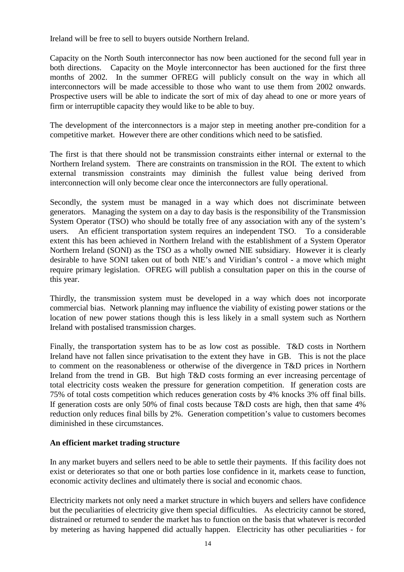Ireland will be free to sell to buyers outside Northern Ireland.

Capacity on the North South interconnector has now been auctioned for the second full year in both directions. Capacity on the Moyle interconnector has been auctioned for the first three months of 2002. In the summer OFREG will publicly consult on the way in which all interconnectors will be made accessible to those who want to use them from 2002 onwards. Prospective users will be able to indicate the sort of mix of day ahead to one or more years of firm or interruptible capacity they would like to be able to buy.

The development of the interconnectors is a major step in meeting another pre-condition for a competitive market. However there are other conditions which need to be satisfied.

The first is that there should not be transmission constraints either internal or external to the Northern Ireland system. There are constraints on transmission in the ROI. The extent to which external transmission constraints may diminish the fullest value being derived from interconnection will only become clear once the interconnectors are fully operational.

Secondly, the system must be managed in a way which does not discriminate between generators. Managing the system on a day to day basis is the responsibility of the Transmission System Operator (TSO) who should be totally free of any association with any of the system's users. An efficient transportation system requires an independent TSO. To a considerable extent this has been achieved in Northern Ireland with the establishment of a System Operator Northern Ireland (SONI) as the TSO as a wholly owned NIE subsidiary. However it is clearly desirable to have SONI taken out of both NIE's and Viridian's control - a move which might require primary legislation. OFREG will publish a consultation paper on this in the course of this year.

Thirdly, the transmission system must be developed in a way which does not incorporate commercial bias. Network planning may influence the viability of existing power stations or the location of new power stations though this is less likely in a small system such as Northern Ireland with postalised transmission charges.

Finally, the transportation system has to be as low cost as possible. T&D costs in Northern Ireland have not fallen since privatisation to the extent they have in GB. This is not the place to comment on the reasonableness or otherwise of the divergence in T&D prices in Northern Ireland from the trend in GB. But high T&D costs forming an ever increasing percentage of total electricity costs weaken the pressure for generation competition. If generation costs are 75% of total costs competition which reduces generation costs by 4% knocks 3% off final bills. If generation costs are only 50% of final costs because T&D costs are high, then that same 4% reduction only reduces final bills by 2%. Generation competition's value to customers becomes diminished in these circumstances.

#### **An efficient market trading structure**

In any market buyers and sellers need to be able to settle their payments. If this facility does not exist or deteriorates so that one or both parties lose confidence in it, markets cease to function, economic activity declines and ultimately there is social and economic chaos.

Electricity markets not only need a market structure in which buyers and sellers have confidence but the peculiarities of electricity give them special difficulties. As electricity cannot be stored, distrained or returned to sender the market has to function on the basis that whatever is recorded by metering as having happened did actually happen. Electricity has other peculiarities - for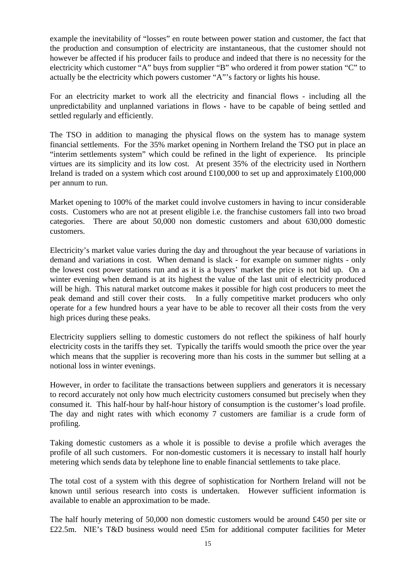example the inevitability of "losses" en route between power station and customer, the fact that the production and consumption of electricity are instantaneous, that the customer should not however be affected if his producer fails to produce and indeed that there is no necessity for the electricity which customer "A" buys from supplier "B" who ordered it from power station "C" to actually be the electricity which powers customer "A"'s factory or lights his house.

For an electricity market to work all the electricity and financial flows - including all the unpredictability and unplanned variations in flows - have to be capable of being settled and settled regularly and efficiently.

The TSO in addition to managing the physical flows on the system has to manage system financial settlements. For the 35% market opening in Northern Ireland the TSO put in place an "interim settlements system" which could be refined in the light of experience. Its principle virtues are its simplicity and its low cost. At present 35% of the electricity used in Northern Ireland is traded on a system which cost around  $£100,000$  to set up and approximately £100,000 per annum to run.

Market opening to 100% of the market could involve customers in having to incur considerable costs. Customers who are not at present eligible i.e. the franchise customers fall into two broad categories. There are about 50,000 non domestic customers and about 630,000 domestic customers.

Electricity's market value varies during the day and throughout the year because of variations in demand and variations in cost. When demand is slack - for example on summer nights - only the lowest cost power stations run and as it is a buyers' market the price is not bid up. On a winter evening when demand is at its highest the value of the last unit of electricity produced will be high. This natural market outcome makes it possible for high cost producers to meet the peak demand and still cover their costs. In a fully competitive market producers who only operate for a few hundred hours a year have to be able to recover all their costs from the very high prices during these peaks.

Electricity suppliers selling to domestic customers do not reflect the spikiness of half hourly electricity costs in the tariffs they set. Typically the tariffs would smooth the price over the year which means that the supplier is recovering more than his costs in the summer but selling at a notional loss in winter evenings.

However, in order to facilitate the transactions between suppliers and generators it is necessary to record accurately not only how much electricity customers consumed but precisely when they consumed it. This half-hour by half-hour history of consumption is the customer's load profile. The day and night rates with which economy 7 customers are familiar is a crude form of profiling.

Taking domestic customers as a whole it is possible to devise a profile which averages the profile of all such customers. For non-domestic customers it is necessary to install half hourly metering which sends data by telephone line to enable financial settlements to take place.

The total cost of a system with this degree of sophistication for Northern Ireland will not be known until serious research into costs is undertaken. However sufficient information is available to enable an approximation to be made.

The half hourly metering of 50,000 non domestic customers would be around £450 per site or £22.5m. NIE's T&D business would need £5m for additional computer facilities for Meter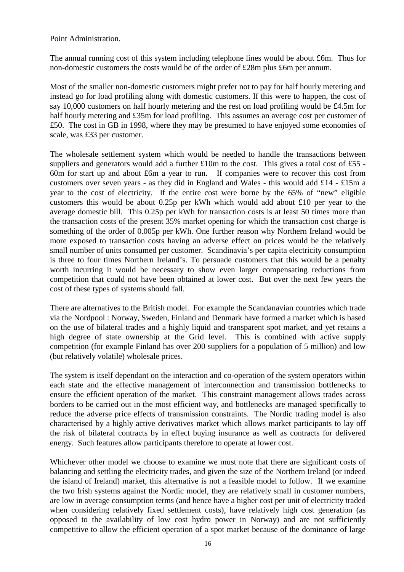Point Administration.

The annual running cost of this system including telephone lines would be about £6m. Thus for non-domestic customers the costs would be of the order of £28m plus £6m per annum.

Most of the smaller non-domestic customers might prefer not to pay for half hourly metering and instead go for load profiling along with domestic customers. If this were to happen, the cost of say 10,000 customers on half hourly metering and the rest on load profiling would be £4.5m for half hourly metering and £35m for load profiling. This assumes an average cost per customer of £50. The cost in GB in 1998, where they may be presumed to have enjoyed some economies of scale, was £33 per customer.

The wholesale settlement system which would be needed to handle the transactions between suppliers and generators would add a further £10m to the cost. This gives a total cost of £55 -60m for start up and about £6m a year to run. If companies were to recover this cost from customers over seven years - as they did in England and Wales - this would add £14 - £15m a year to the cost of electricity. If the entire cost were borne by the 65% of "new" eligible customers this would be about 0.25p per kWh which would add about £10 per year to the average domestic bill. This 0.25p per kWh for transaction costs is at least 50 times more than the transaction costs of the present 35% market opening for which the transaction cost charge is something of the order of 0.005p per kWh. One further reason why Northern Ireland would be more exposed to transaction costs having an adverse effect on prices would be the relatively small number of units consumed per customer. Scandinavia's per capita electricity consumption is three to four times Northern Ireland's. To persuade customers that this would be a penalty worth incurring it would be necessary to show even larger compensating reductions from competition that could not have been obtained at lower cost. But over the next few years the cost of these types of systems should fall.

There are alternatives to the British model. For example the Scandanavian countries which trade via the Nordpool : Norway, Sweden, Finland and Denmark have formed a market which is based on the use of bilateral trades and a highly liquid and transparent spot market, and yet retains a high degree of state ownership at the Grid level. This is combined with active supply competition (for example Finland has over 200 suppliers for a population of 5 million) and low (but relatively volatile) wholesale prices.

The system is itself dependant on the interaction and co-operation of the system operators within each state and the effective management of interconnection and transmission bottlenecks to ensure the efficient operation of the market. This constraint management allows trades across borders to be carried out in the most efficient way, and bottlenecks are managed specifically to reduce the adverse price effects of transmission constraints. The Nordic trading model is also characterised by a highly active derivatives market which allows market participants to lay off the risk of bilateral contracts by in effect buying insurance as well as contracts for delivered energy. Such features allow participants therefore to operate at lower cost.

Whichever other model we choose to examine we must note that there are significant costs of balancing and settling the electricity trades, and given the size of the Northern Ireland (or indeed the island of Ireland) market, this alternative is not a feasible model to follow. If we examine the two Irish systems against the Nordic model, they are relatively small in customer numbers, are low in average consumption terms (and hence have a higher cost per unit of electricity traded when considering relatively fixed settlement costs), have relatively high cost generation (as opposed to the availability of low cost hydro power in Norway) and are not sufficiently competitive to allow the efficient operation of a spot market because of the dominance of large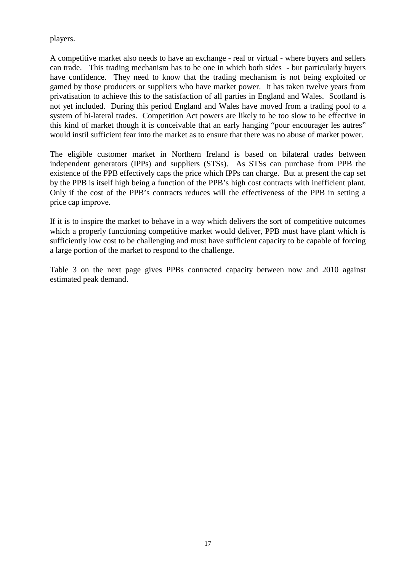players.

A competitive market also needs to have an exchange - real or virtual - where buyers and sellers can trade. This trading mechanism has to be one in which both sides - but particularly buyers have confidence. They need to know that the trading mechanism is not being exploited or gamed by those producers or suppliers who have market power. It has taken twelve years from privatisation to achieve this to the satisfaction of all parties in England and Wales. Scotland is not yet included. During this period England and Wales have moved from a trading pool to a system of bi-lateral trades. Competition Act powers are likely to be too slow to be effective in this kind of market though it is conceivable that an early hanging "pour encourager les autres" would instil sufficient fear into the market as to ensure that there was no abuse of market power.

The eligible customer market in Northern Ireland is based on bilateral trades between independent generators (IPPs) and suppliers (STSs). As STSs can purchase from PPB the existence of the PPB effectively caps the price which IPPs can charge. But at present the cap set by the PPB is itself high being a function of the PPB's high cost contracts with inefficient plant. Only if the cost of the PPB's contracts reduces will the effectiveness of the PPB in setting a price cap improve.

If it is to inspire the market to behave in a way which delivers the sort of competitive outcomes which a properly functioning competitive market would deliver, PPB must have plant which is sufficiently low cost to be challenging and must have sufficient capacity to be capable of forcing a large portion of the market to respond to the challenge.

Table 3 on the next page gives PPBs contracted capacity between now and 2010 against estimated peak demand.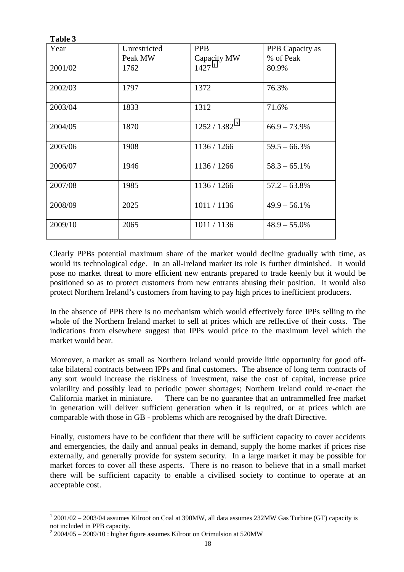| 1 avie J |              |                   |                 |
|----------|--------------|-------------------|-----------------|
| Year     | Unrestricted | <b>PPB</b>        | PPB Capacity as |
|          | Peak MW      | Capacity MW       | % of Peak       |
| 2001/02  | 1762         | 1427 <sup>1</sup> | 80.9%           |
| 2002/03  | 1797         | 1372              | 76.3%           |
| 2003/04  | 1833         | 1312              | 71.6%           |
| 2004/05  | 1870         | $1252 / 1382^2$   | $66.9 - 73.9\%$ |
| 2005/06  | 1908         | 1136 / 1266       | $59.5 - 66.3\%$ |
| 2006/07  | 1946         | 1136 / 1266       | $58.3 - 65.1\%$ |
| 2007/08  | 1985         | 1136 / 1266       | $57.2 - 63.8\%$ |
| 2008/09  | 2025         | 1011/1136         | $49.9 - 56.1\%$ |
| 2009/10  | 2065         | 1011/1136         | $48.9 - 55.0\%$ |

**TREA** 

 $\overline{a}$ 

Clearly PPBs potential maximum share of the market would decline gradually with time, as would its technological edge. In an all-Ireland market its role is further diminished. It would pose no market threat to more efficient new entrants prepared to trade keenly but it would be positioned so as to protect customers from new entrants abusing their position. It would also protect Northern Ireland's customers from having to pay high prices to inefficient producers.

In the absence of PPB there is no mechanism which would effectively force IPPs selling to the whole of the Northern Ireland market to sell at prices which are reflective of their costs. The indications from elsewhere suggest that IPPs would price to the maximum level which the market would bear.

Moreover, a market as small as Northern Ireland would provide little opportunity for good offtake bilateral contracts between IPPs and final customers. The absence of long term contracts of any sort would increase the riskiness of investment, raise the cost of capital, increase price volatility and possibly lead to periodic power shortages; Northern Ireland could re-enact the California market in miniature. There can be no guarantee that an untrammelled free market in generation will deliver sufficient generation when it is required, or at prices which are comparable with those in GB - problems which are recognised by the draft Directive.

Finally, customers have to be confident that there will be sufficient capacity to cover accidents and emergencies, the daily and annual peaks in demand, supply the home market if prices rise externally, and generally provide for system security. In a large market it may be possible for market forces to cover all these aspects. There is no reason to believe that in a small market there will be sufficient capacity to enable a civilised society to continue to operate at an acceptable cost.

 $12001/02 - 2003/04$  assumes Kilroot on Coal at 390MW, all data assumes 232MW Gas Turbine (GT) capacity is not included in PPB capacity.

 $2\,2004/05 - 2009/10$ : higher figure assumes Kilroot on Orimulsion at 520MW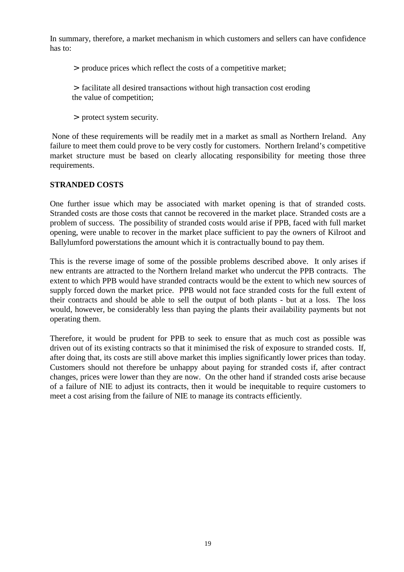In summary, therefore, a market mechanism in which customers and sellers can have confidence has to:

- > produce prices which reflect the costs of a competitive market;
- > facilitate all desired transactions without high transaction cost eroding the value of competition;
- > protect system security.

 None of these requirements will be readily met in a market as small as Northern Ireland. Any failure to meet them could prove to be very costly for customers. Northern Ireland's competitive market structure must be based on clearly allocating responsibility for meeting those three requirements.

#### **STRANDED COSTS**

One further issue which may be associated with market opening is that of stranded costs. Stranded costs are those costs that cannot be recovered in the market place. Stranded costs are a problem of success. The possibility of stranded costs would arise if PPB, faced with full market opening, were unable to recover in the market place sufficient to pay the owners of Kilroot and Ballylumford powerstations the amount which it is contractually bound to pay them.

This is the reverse image of some of the possible problems described above. It only arises if new entrants are attracted to the Northern Ireland market who undercut the PPB contracts. The extent to which PPB would have stranded contracts would be the extent to which new sources of supply forced down the market price. PPB would not face stranded costs for the full extent of their contracts and should be able to sell the output of both plants - but at a loss. The loss would, however, be considerably less than paying the plants their availability payments but not operating them.

Therefore, it would be prudent for PPB to seek to ensure that as much cost as possible was driven out of its existing contracts so that it minimised the risk of exposure to stranded costs. If, after doing that, its costs are still above market this implies significantly lower prices than today. Customers should not therefore be unhappy about paying for stranded costs if, after contract changes, prices were lower than they are now. On the other hand if stranded costs arise because of a failure of NIE to adjust its contracts, then it would be inequitable to require customers to meet a cost arising from the failure of NIE to manage its contracts efficiently.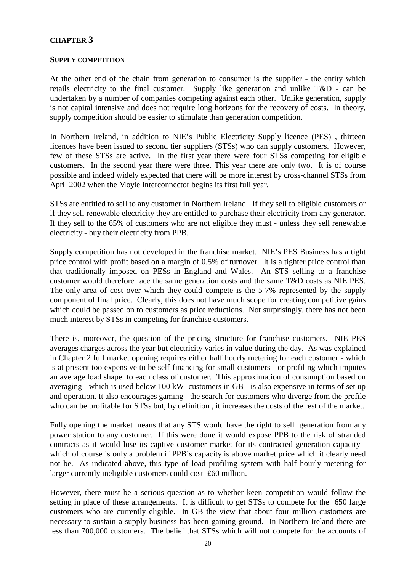#### **CHAPTER 3**

#### **SUPPLY COMPETITION**

At the other end of the chain from generation to consumer is the supplier - the entity which retails electricity to the final customer. Supply like generation and unlike T&D - can be undertaken by a number of companies competing against each other. Unlike generation, supply is not capital intensive and does not require long horizons for the recovery of costs. In theory, supply competition should be easier to stimulate than generation competition.

In Northern Ireland, in addition to NIE's Public Electricity Supply licence (PES) , thirteen licences have been issued to second tier suppliers (STSs) who can supply customers. However, few of these STSs are active. In the first year there were four STSs competing for eligible customers. In the second year there were three. This year there are only two. It is of course possible and indeed widely expected that there will be more interest by cross-channel STSs from April 2002 when the Moyle Interconnector begins its first full year.

STSs are entitled to sell to any customer in Northern Ireland. If they sell to eligible customers or if they sell renewable electricity they are entitled to purchase their electricity from any generator. If they sell to the 65% of customers who are not eligible they must - unless they sell renewable electricity - buy their electricity from PPB.

Supply competition has not developed in the franchise market. NIE's PES Business has a tight price control with profit based on a margin of 0.5% of turnover. It is a tighter price control than that traditionally imposed on PESs in England and Wales. An STS selling to a franchise customer would therefore face the same generation costs and the same T&D costs as NIE PES. The only area of cost over which they could compete is the 5-7% represented by the supply component of final price. Clearly, this does not have much scope for creating competitive gains which could be passed on to customers as price reductions. Not surprisingly, there has not been much interest by STSs in competing for franchise customers.

There is, moreover, the question of the pricing structure for franchise customers. NIE PES averages charges across the year but electricity varies in value during the day. As was explained in Chapter 2 full market opening requires either half hourly metering for each customer - which is at present too expensive to be self-financing for small customers - or profiling which imputes an average load shape to each class of customer. This approximation of consumption based on averaging - which is used below 100 kW customers in GB - is also expensive in terms of set up and operation. It also encourages gaming - the search for customers who diverge from the profile who can be profitable for STSs but, by definition , it increases the costs of the rest of the market.

Fully opening the market means that any STS would have the right to sell generation from any power station to any customer. If this were done it would expose PPB to the risk of stranded contracts as it would lose its captive customer market for its contracted generation capacity which of course is only a problem if PPB's capacity is above market price which it clearly need not be. As indicated above, this type of load profiling system with half hourly metering for larger currently ineligible customers could cost £60 million.

However, there must be a serious question as to whether keen competition would follow the setting in place of these arrangements. It is difficult to get STSs to compete for the 650 large customers who are currently eligible. In GB the view that about four million customers are necessary to sustain a supply business has been gaining ground. In Northern Ireland there are less than 700,000 customers. The belief that STSs which will not compete for the accounts of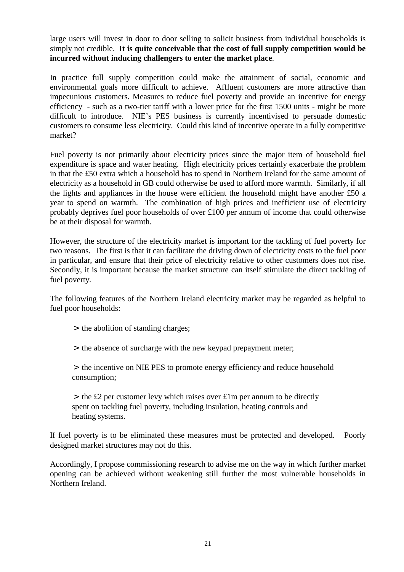large users will invest in door to door selling to solicit business from individual households is simply not credible. **It is quite conceivable that the cost of full supply competition would be incurred without inducing challengers to enter the market place**.

In practice full supply competition could make the attainment of social, economic and environmental goals more difficult to achieve. Affluent customers are more attractive than impecunious customers. Measures to reduce fuel poverty and provide an incentive for energy efficiency - such as a two-tier tariff with a lower price for the first 1500 units - might be more difficult to introduce. NIE's PES business is currently incentivised to persuade domestic customers to consume less electricity. Could this kind of incentive operate in a fully competitive market?

Fuel poverty is not primarily about electricity prices since the major item of household fuel expenditure is space and water heating. High electricity prices certainly exacerbate the problem in that the £50 extra which a household has to spend in Northern Ireland for the same amount of electricity as a household in GB could otherwise be used to afford more warmth. Similarly, if all the lights and appliances in the house were efficient the household might have another £50 a year to spend on warmth. The combination of high prices and inefficient use of electricity probably deprives fuel poor households of over £100 per annum of income that could otherwise be at their disposal for warmth.

However, the structure of the electricity market is important for the tackling of fuel poverty for two reasons. The first is that it can facilitate the driving down of electricity costs to the fuel poor in particular, and ensure that their price of electricity relative to other customers does not rise. Secondly, it is important because the market structure can itself stimulate the direct tackling of fuel poverty.

The following features of the Northern Ireland electricity market may be regarded as helpful to fuel poor households:

> the abolition of standing charges;

> the absence of surcharge with the new keypad prepayment meter;

> the incentive on NIE PES to promote energy efficiency and reduce household consumption;

 $>$  the £2 per customer levy which raises over £1m per annum to be directly spent on tackling fuel poverty, including insulation, heating controls and heating systems.

If fuel poverty is to be eliminated these measures must be protected and developed. Poorly designed market structures may not do this.

Accordingly, I propose commissioning research to advise me on the way in which further market opening can be achieved without weakening still further the most vulnerable households in Northern Ireland.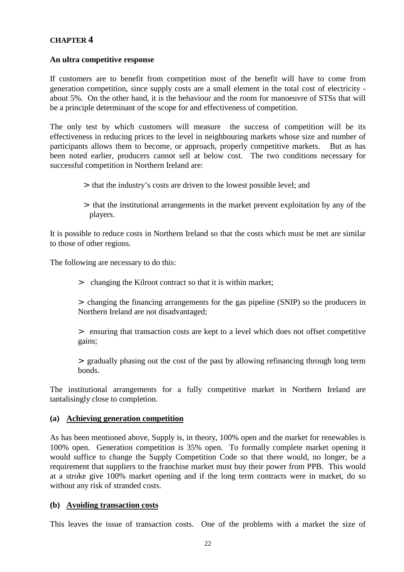#### **CHAPTER 4**

#### **An ultra competitive response**

If customers are to benefit from competition most of the benefit will have to come from generation competition, since supply costs are a small element in the total cost of electricity about 5%. On the other hand, it is the behaviour and the room for manoeuvre of STSs that will be a principle determinant of the scope for and effectiveness of competition.

The only test by which customers will measure the success of competition will be its effectiveness in reducing prices to the level in neighbouring markets whose size and number of participants allows them to become, or approach, properly competitive markets. But as has been noted earlier, producers cannot sell at below cost. The two conditions necessary for successful competition in Northern Ireland are:

- > that the industry's costs are driven to the lowest possible level; and
- > that the institutional arrangements in the market prevent exploitation by any of the players.

It is possible to reduce costs in Northern Ireland so that the costs which must be met are similar to those of other regions.

The following are necessary to do this:

> changing the Kilroot contract so that it is within market;

> changing the financing arrangements for the gas pipeline (SNIP) so the producers in Northern Ireland are not disadvantaged;

> ensuring that transaction costs are kept to a level which does not offset competitive gains;

> gradually phasing out the cost of the past by allowing refinancing through long term bonds.

The institutional arrangements for a fully competitive market in Northern Ireland are tantalisingly close to completion.

#### **(a) Achieving generation competition**

As has been mentioned above, Supply is, in theory, 100% open and the market for renewables is 100% open. Generation competition is 35% open. To formally complete market opening it would suffice to change the Supply Competition Code so that there would, no longer, be a requirement that suppliers to the franchise market must buy their power from PPB. This would at a stroke give 100% market opening and if the long term contracts were in market, do so without any risk of stranded costs.

#### **(b) Avoiding transaction costs**

This leaves the issue of transaction costs. One of the problems with a market the size of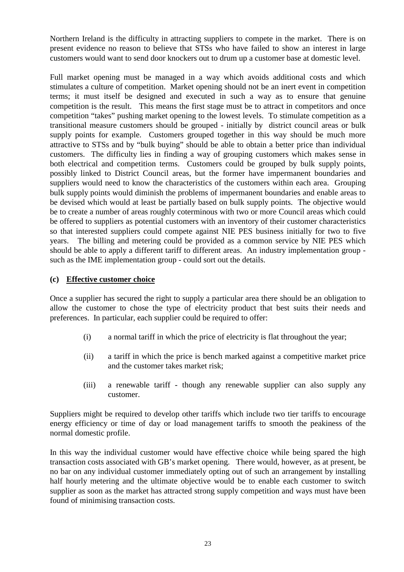Northern Ireland is the difficulty in attracting suppliers to compete in the market. There is on present evidence no reason to believe that STSs who have failed to show an interest in large customers would want to send door knockers out to drum up a customer base at domestic level.

Full market opening must be managed in a way which avoids additional costs and which stimulates a culture of competition. Market opening should not be an inert event in competition terms; it must itself be designed and executed in such a way as to ensure that genuine competition is the result. This means the first stage must be to attract in competitors and once competition "takes" pushing market opening to the lowest levels. To stimulate competition as a transitional measure customers should be grouped - initially by district council areas or bulk supply points for example. Customers grouped together in this way should be much more attractive to STSs and by "bulk buying" should be able to obtain a better price than individual customers. The difficulty lies in finding a way of grouping customers which makes sense in both electrical and competition terms. Customers could be grouped by bulk supply points, possibly linked to District Council areas, but the former have impermanent boundaries and suppliers would need to know the characteristics of the customers within each area. Grouping bulk supply points would diminish the problems of impermanent boundaries and enable areas to be devised which would at least be partially based on bulk supply points. The objective would be to create a number of areas roughly coterminous with two or more Council areas which could be offered to suppliers as potential customers with an inventory of their customer characteristics so that interested suppliers could compete against NIE PES business initially for two to five years. The billing and metering could be provided as a common service by NIE PES which should be able to apply a different tariff to different areas. An industry implementation group such as the IME implementation group - could sort out the details.

#### **(c) Effective customer choice**

Once a supplier has secured the right to supply a particular area there should be an obligation to allow the customer to chose the type of electricity product that best suits their needs and preferences. In particular, each supplier could be required to offer:

- (i) a normal tariff in which the price of electricity is flat throughout the year;
- (ii) a tariff in which the price is bench marked against a competitive market price and the customer takes market risk;
- (iii) a renewable tariff though any renewable supplier can also supply any customer.

Suppliers might be required to develop other tariffs which include two tier tariffs to encourage energy efficiency or time of day or load management tariffs to smooth the peakiness of the normal domestic profile.

In this way the individual customer would have effective choice while being spared the high transaction costs associated with GB's market opening. There would, however, as at present, be no bar on any individual customer immediately opting out of such an arrangement by installing half hourly metering and the ultimate objective would be to enable each customer to switch supplier as soon as the market has attracted strong supply competition and ways must have been found of minimising transaction costs.